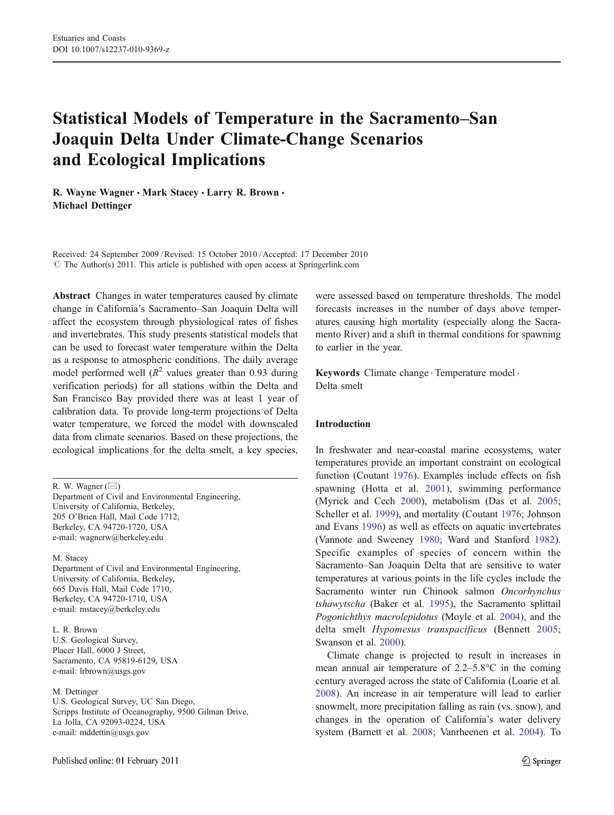# Statistical Models of Temperature in the Sacramento–San Joaquin Delta Under Climate-Change Scenarios and Ecological Implications

R. Wayne Wagner · Mark Stacey · Larry R. Brown · Michael Dettinger

Received: 24 September 2009 /Revised: 15 October 2010 /Accepted: 17 December 2010  $\odot$  The Author(s) 2011. This article is published with open access at Springerlink.com

Abstract Changes in water temperatures caused by climate change in California's Sacramento–San Joaquin Delta will affect the ecosystem through physiological rates of fishes and invertebrates. This study presents statistical models that can be used to forecast water temperature within the Delta as a response to atmospheric conditions. The daily average model performed well  $(R^2$  values greater than 0.93 during verification periods) for all stations within the Delta and San Francisco Bay provided there was at least 1 year of calibration data. To provide long-term projections of Delta water temperature, we forced the model with downscaled data from climate scenarios. Based on these projections, the ecological implications for the delta smelt, a key species,

R. W. Wagner  $(\boxtimes)$ Department of Civil and Environmental Engineering, University of California, Berkeley, 205 O'Brien Hall, Mail Code 1712, Berkeley, CA 94720-1720, USA e-mail: wagnerw@berkeley.edu

M. Stacey Department of Civil and Environmental Engineering, University of California, Berkeley, 665 Davis Hall, Mail Code 1710, Berkeley, CA 94720-1710, USA e-mail: mstacey@berkeley.edu

L. R. Brown U.S. Geological Survey, Placer Hall, 6000 J Street, Sacramento, CA 95819-6129, USA e-mail: lrbrown@usgs.gov

M. Dettinger U.S. Geological Survey, UC San Diego, Scripps Institute of Oceanography, 9500 Gilman Drive, La Jolla, CA 92093-0224, USA e-mail: mddettin@usgs.gov

were assessed based on temperature thresholds. The model forecasts increases in the number of days above temperatures causing high mortality (especially along the Sacramento River) and a shift in thermal conditions for spawning to earlier in the year.

Keywords Climate change . Temperature model . Delta smelt

# Introduction

In freshwater and near-coastal marine ecosystems, water temperatures provide an important constraint on ecological function (Coutant [1976](#page-11-0)). Examples include effects on fish spawning (Hotta et al. [2001\)](#page-12-0), swimming performance (Myrick and Cech [2000\)](#page-12-0), metabolism (Das et al. [2005;](#page-11-0) Scheller et al. [1999\)](#page-12-0), and mortality (Coutant [1976;](#page-11-0) Johnson and Evans [1996\)](#page-12-0) as well as effects on aquatic invertebrates (Vannote and Sweeney [1980;](#page-12-0) Ward and Stanford [1982\)](#page-12-0). Specific examples of species of concern within the Sacramento–San Joaquin Delta that are sensitive to water temperatures at various points in the life cycles include the Sacramento winter run Chinook salmon Oncorhynchus tshawytscha (Baker et al. [1995\)](#page-11-0), the Sacramento splittail Pogonichthys macrolepidotus (Moyle et al. [2004\)](#page-12-0), and the delta smelt Hypomesus transpacificus (Bennett [2005;](#page-11-0) Swanson et al. [2000](#page-12-0)).

Climate change is projected to result in increases in mean annual air temperature of 2.2–5.8°C in the coming century averaged across the state of California (Loarie et al. [2008](#page-12-0)). An increase in air temperature will lead to earlier snowmelt, more precipitation falling as rain (vs. snow), and changes in the operation of California's water delivery system (Barnett et al. [2008](#page-11-0); Vanrheenen et al. [2004\)](#page-12-0). To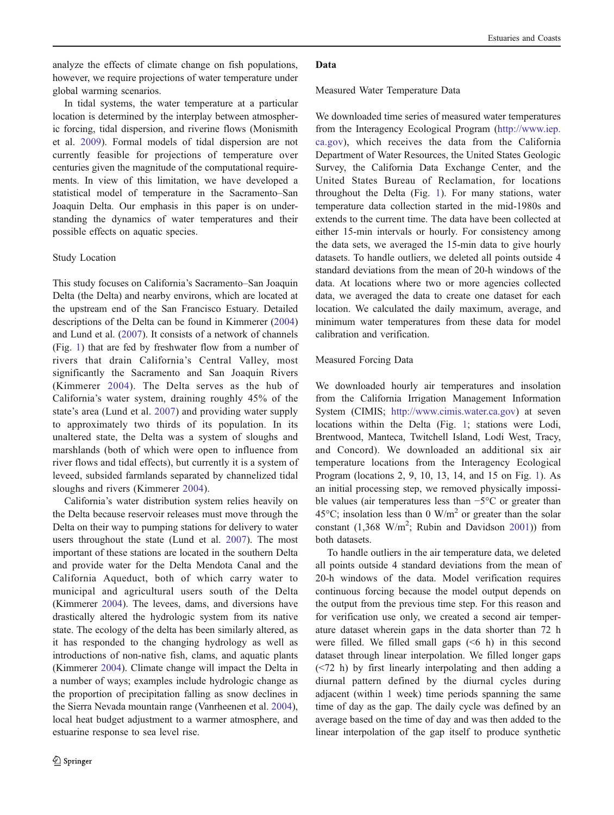analyze the effects of climate change on fish populations, however, we require projections of water temperature under global warming scenarios.

In tidal systems, the water temperature at a particular location is determined by the interplay between atmospheric forcing, tidal dispersion, and riverine flows (Monismith et al. [2009](#page-12-0)). Formal models of tidal dispersion are not currently feasible for projections of temperature over centuries given the magnitude of the computational requirements. In view of this limitation, we have developed a statistical model of temperature in the Sacramento–San Joaquin Delta. Our emphasis in this paper is on understanding the dynamics of water temperatures and their possible effects on aquatic species.

## Study Location

This study focuses on California's Sacramento–San Joaquin Delta (the Delta) and nearby environs, which are located at the upstream end of the San Francisco Estuary. Detailed descriptions of the Delta can be found in Kimmerer ([2004\)](#page-12-0) and Lund et al. ([2007\)](#page-12-0). It consists of a network of channels (Fig. [1\)](#page-2-0) that are fed by freshwater flow from a number of rivers that drain California's Central Valley, most significantly the Sacramento and San Joaquin Rivers (Kimmerer [2004\)](#page-12-0). The Delta serves as the hub of California's water system, draining roughly 45% of the state's area (Lund et al. [2007](#page-12-0)) and providing water supply to approximately two thirds of its population. In its unaltered state, the Delta was a system of sloughs and marshlands (both of which were open to influence from river flows and tidal effects), but currently it is a system of leveed, subsided farmlands separated by channelized tidal sloughs and rivers (Kimmerer [2004\)](#page-12-0).

California's water distribution system relies heavily on the Delta because reservoir releases must move through the Delta on their way to pumping stations for delivery to water users throughout the state (Lund et al. [2007](#page-12-0)). The most important of these stations are located in the southern Delta and provide water for the Delta Mendota Canal and the California Aqueduct, both of which carry water to municipal and agricultural users south of the Delta (Kimmerer [2004\)](#page-12-0). The levees, dams, and diversions have drastically altered the hydrologic system from its native state. The ecology of the delta has been similarly altered, as it has responded to the changing hydrology as well as introductions of non-native fish, clams, and aquatic plants (Kimmerer [2004\)](#page-12-0). Climate change will impact the Delta in a number of ways; examples include hydrologic change as the proportion of precipitation falling as snow declines in the Sierra Nevada mountain range (Vanrheenen et al. [2004](#page-12-0)), local heat budget adjustment to a warmer atmosphere, and estuarine response to sea level rise.

#### Data

#### Measured Water Temperature Data

We downloaded time series of measured water temperatures from the Interagency Ecological Program ([http://www.iep.](http://www.iep.ca.gov) [ca.gov](http://www.iep.ca.gov)), which receives the data from the California Department of Water Resources, the United States Geologic Survey, the California Data Exchange Center, and the United States Bureau of Reclamation, for locations throughout the Delta (Fig. [1\)](#page-2-0). For many stations, water temperature data collection started in the mid-1980s and extends to the current time. The data have been collected at either 15-min intervals or hourly. For consistency among the data sets, we averaged the 15-min data to give hourly datasets. To handle outliers, we deleted all points outside 4 standard deviations from the mean of 20-h windows of the data. At locations where two or more agencies collected data, we averaged the data to create one dataset for each location. We calculated the daily maximum, average, and minimum water temperatures from these data for model calibration and verification.

## Measured Forcing Data

We downloaded hourly air temperatures and insolation from the California Irrigation Management Information System (CIMIS; <http://www.cimis.water.ca.gov>) at seven locations within the Delta (Fig. [1;](#page-2-0) stations were Lodi, Brentwood, Manteca, Twitchell Island, Lodi West, Tracy, and Concord). We downloaded an additional six air temperature locations from the Interagency Ecological Program (locations 2, 9, 10, 13, 14, and 15 on Fig. [1](#page-2-0)). As an initial processing step, we removed physically impossible values (air temperatures less than −5°C or greater than 45 $^{\circ}$ C; insolation less than 0 W/m<sup>2</sup> or greater than the solar constant (1,368 W/m<sup>2</sup>; Rubin and Davidson [2001](#page-12-0))) from both datasets.

To handle outliers in the air temperature data, we deleted all points outside 4 standard deviations from the mean of 20-h windows of the data. Model verification requires continuous forcing because the model output depends on the output from the previous time step. For this reason and for verification use only, we created a second air temperature dataset wherein gaps in the data shorter than 72 h were filled. We filled small gaps  $( $6 \, h$ )$  in this second dataset through linear interpolation. We filled longer gaps (<72 h) by first linearly interpolating and then adding a diurnal pattern defined by the diurnal cycles during adjacent (within 1 week) time periods spanning the same time of day as the gap. The daily cycle was defined by an average based on the time of day and was then added to the linear interpolation of the gap itself to produce synthetic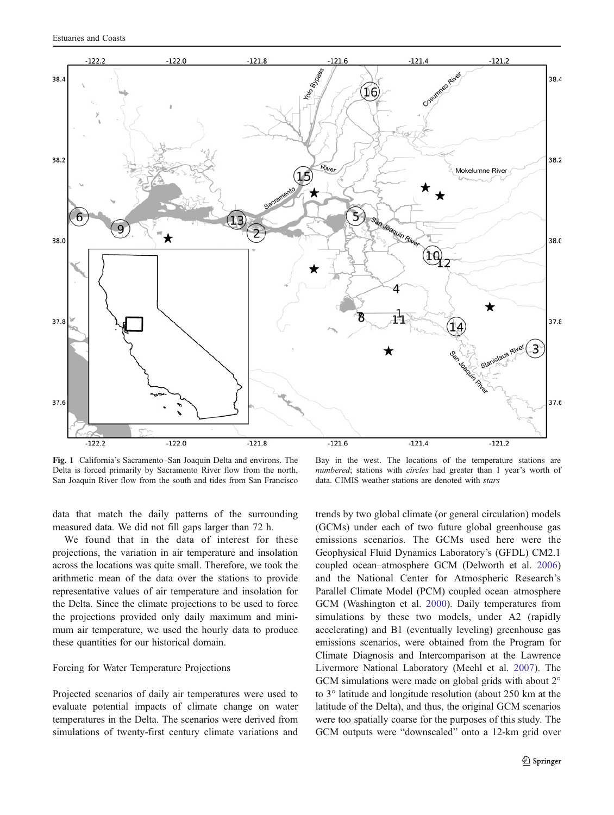<span id="page-2-0"></span>

Fig. 1 California's Sacramento–San Joaquin Delta and environs. The Delta is forced primarily by Sacramento River flow from the north, San Joaquin River flow from the south and tides from San Francisco

data that match the daily patterns of the surrounding measured data. We did not fill gaps larger than 72 h.

We found that in the data of interest for these projections, the variation in air temperature and insolation across the locations was quite small. Therefore, we took the arithmetic mean of the data over the stations to provide representative values of air temperature and insolation for the Delta. Since the climate projections to be used to force the projections provided only daily maximum and minimum air temperature, we used the hourly data to produce these quantities for our historical domain.

# Forcing for Water Temperature Projections

Projected scenarios of daily air temperatures were used to evaluate potential impacts of climate change on water temperatures in the Delta. The scenarios were derived from simulations of twenty-first century climate variations and

Bay in the west. The locations of the temperature stations are numbered; stations with circles had greater than 1 year's worth of data. CIMIS weather stations are denoted with stars

trends by two global climate (or general circulation) models (GCMs) under each of two future global greenhouse gas emissions scenarios. The GCMs used here were the Geophysical Fluid Dynamics Laboratory's (GFDL) CM2.1 coupled ocean–atmosphere GCM (Delworth et al. [2006](#page-11-0)) and the National Center for Atmospheric Research's Parallel Climate Model (PCM) coupled ocean–atmosphere GCM (Washington et al. [2000](#page-12-0)). Daily temperatures from simulations by these two models, under A2 (rapidly accelerating) and B1 (eventually leveling) greenhouse gas emissions scenarios, were obtained from the Program for Climate Diagnosis and Intercomparison at the Lawrence Livermore National Laboratory (Meehl et al. [2007\)](#page-12-0). The GCM simulations were made on global grids with about 2° to 3° latitude and longitude resolution (about 250 km at the latitude of the Delta), and thus, the original GCM scenarios were too spatially coarse for the purposes of this study. The GCM outputs were "downscaled" onto a 12-km grid over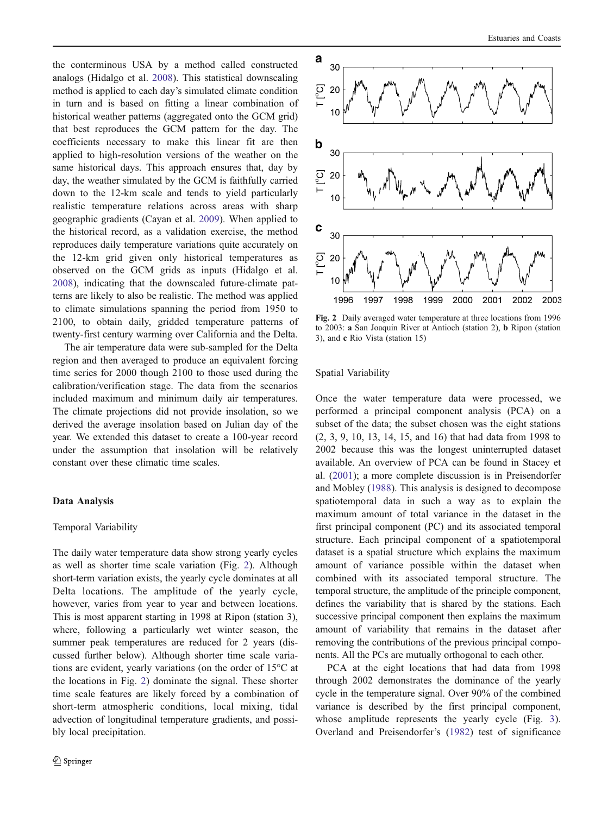the conterminous USA by a method called constructed analogs (Hidalgo et al. [2008\)](#page-12-0). This statistical downscaling method is applied to each day's simulated climate condition in turn and is based on fitting a linear combination of historical weather patterns (aggregated onto the GCM grid) that best reproduces the GCM pattern for the day. The coefficients necessary to make this linear fit are then applied to high-resolution versions of the weather on the same historical days. This approach ensures that, day by day, the weather simulated by the GCM is faithfully carried down to the 12-km scale and tends to yield particularly realistic temperature relations across areas with sharp geographic gradients (Cayan et al. [2009\)](#page-11-0). When applied to the historical record, as a validation exercise, the method reproduces daily temperature variations quite accurately on the 12-km grid given only historical temperatures as observed on the GCM grids as inputs (Hidalgo et al. [2008\)](#page-12-0), indicating that the downscaled future-climate patterns are likely to also be realistic. The method was applied to climate simulations spanning the period from 1950 to 2100, to obtain daily, gridded temperature patterns of twenty-first century warming over California and the Delta.

The air temperature data were sub-sampled for the Delta region and then averaged to produce an equivalent forcing time series for 2000 though 2100 to those used during the calibration/verification stage. The data from the scenarios included maximum and minimum daily air temperatures. The climate projections did not provide insolation, so we derived the average insolation based on Julian day of the year. We extended this dataset to create a 100-year record under the assumption that insolation will be relatively constant over these climatic time scales.

#### Data Analysis

#### Temporal Variability

The daily water temperature data show strong yearly cycles as well as shorter time scale variation (Fig. 2). Although short-term variation exists, the yearly cycle dominates at all Delta locations. The amplitude of the yearly cycle, however, varies from year to year and between locations. This is most apparent starting in 1998 at Ripon (station 3), where, following a particularly wet winter season, the summer peak temperatures are reduced for 2 years (discussed further below). Although shorter time scale variations are evident, yearly variations (on the order of 15°C at the locations in Fig. 2) dominate the signal. These shorter time scale features are likely forced by a combination of short-term atmospheric conditions, local mixing, tidal advection of longitudinal temperature gradients, and possibly local precipitation.



Fig. 2 Daily averaged water temperature at three locations from 1996 to 2003: a San Joaquin River at Antioch (station 2), b Ripon (station 3), and c Rio Vista (station 15)

#### Spatial Variability

Once the water temperature data were processed, we performed a principal component analysis (PCA) on a subset of the data; the subset chosen was the eight stations (2, 3, 9, 10, 13, 14, 15, and 16) that had data from 1998 to 2002 because this was the longest uninterrupted dataset available. An overview of PCA can be found in Stacey et al. ([2001\)](#page-12-0); a more complete discussion is in Preisendorfer and Mobley ([1988\)](#page-12-0). This analysis is designed to decompose spatiotemporal data in such a way as to explain the maximum amount of total variance in the dataset in the first principal component (PC) and its associated temporal structure. Each principal component of a spatiotemporal dataset is a spatial structure which explains the maximum amount of variance possible within the dataset when combined with its associated temporal structure. The temporal structure, the amplitude of the principle component, defines the variability that is shared by the stations. Each successive principal component then explains the maximum amount of variability that remains in the dataset after removing the contributions of the previous principal components. All the PCs are mutually orthogonal to each other.

PCA at the eight locations that had data from 1998 through 2002 demonstrates the dominance of the yearly cycle in the temperature signal. Over 90% of the combined variance is described by the first principal component, whose amplitude represents the yearly cycle (Fig. [3](#page-4-0)). Overland and Preisendorfer's [\(1982\)](#page-12-0) test of significance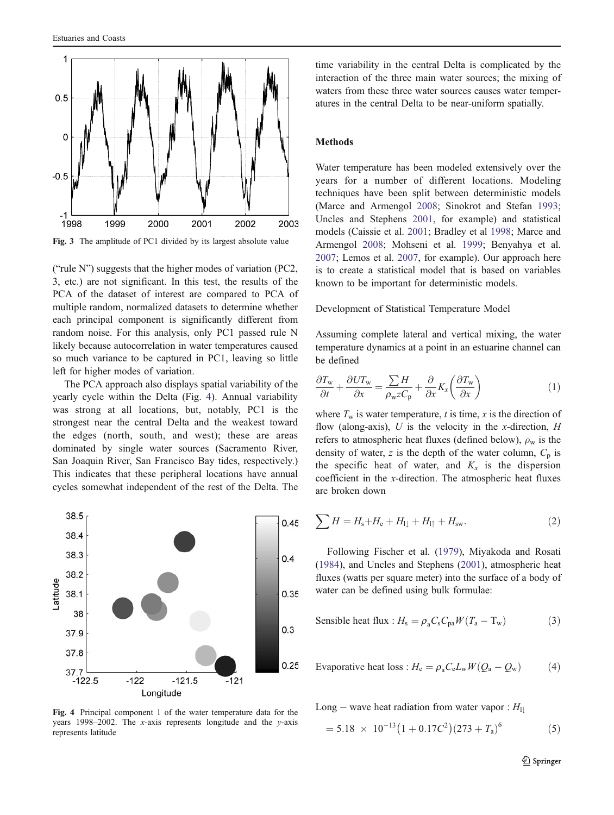<span id="page-4-0"></span>

Fig. 3 The amplitude of PC1 divided by its largest absolute value

("rule N") suggests that the higher modes of variation (PC2, 3, etc.) are not significant. In this test, the results of the PCA of the dataset of interest are compared to PCA of multiple random, normalized datasets to determine whether each principal component is significantly different from random noise. For this analysis, only PC1 passed rule N likely because autocorrelation in water temperatures caused so much variance to be captured in PC1, leaving so little left for higher modes of variation.

The PCA approach also displays spatial variability of the yearly cycle within the Delta (Fig. 4). Annual variability was strong at all locations, but, notably, PC1 is the strongest near the central Delta and the weakest toward the edges (north, south, and west); these are areas dominated by single water sources (Sacramento River, San Joaquin River, San Francisco Bay tides, respectively.) This indicates that these peripheral locations have annual cycles somewhat independent of the rest of the Delta. The



Fig. 4 Principal component 1 of the water temperature data for the years 1998–2002. The x-axis represents longitude and the y-axis represents latitude

time variability in the central Delta is complicated by the interaction of the three main water sources; the mixing of waters from these three water sources causes water temperatures in the central Delta to be near-uniform spatially.

## Methods

Water temperature has been modeled extensively over the years for a number of different locations. Modeling techniques have been split between deterministic models (Marce and Armengol [2008;](#page-12-0) Sinokrot and Stefan [1993;](#page-12-0) Uncles and Stephens [2001](#page-12-0), for example) and statistical models (Caissie et al. [2001](#page-11-0); Bradley et al [1998;](#page-11-0) Marce and Armengol [2008;](#page-12-0) Mohseni et al. [1999](#page-12-0); Benyahya et al. [2007](#page-11-0); Lemos et al. [2007,](#page-12-0) for example). Our approach here is to create a statistical model that is based on variables known to be important for deterministic models.

Development of Statistical Temperature Model

Assuming complete lateral and vertical mixing, the water temperature dynamics at a point in an estuarine channel can be defined

$$
\frac{\partial T_{\mathbf{w}}}{\partial t} + \frac{\partial UT_{\mathbf{w}}}{\partial x} = \frac{\sum H}{\rho_{\mathbf{w}} z C_{\mathbf{p}}} + \frac{\partial}{\partial x} K_x \left( \frac{\partial T_{\mathbf{w}}}{\partial x} \right) \tag{1}
$$

where  $T_w$  is water temperature, t is time, x is the direction of flow (along-axis),  $U$  is the velocity in the x-direction,  $H$ refers to atmospheric heat fluxes (defined below),  $\rho_w$  is the density of water, z is the depth of the water column,  $C_p$  is the specific heat of water, and  $K_x$  is the dispersion coefficient in the x-direction. The atmospheric heat fluxes are broken down

$$
\sum H = H_{\rm s} + H_{\rm e} + H_{\rm l\downarrow} + H_{\rm l\uparrow} + H_{\rm sw}.
$$
 (2)

Following Fischer et al. [\(1979](#page-12-0)), Miyakoda and Rosati [\(1984](#page-12-0)), and Uncles and Stephens [\(2001](#page-12-0)), atmospheric heat fluxes (watts per square meter) into the surface of a body of water can be defined using bulk formulae:

Sensible heat flux : 
$$
H_s = \rho_a C_s C_{pa} W (T_a - T_w)
$$
 (3)

$$
Evaporative heat loss : H_e = \rho_a C_e L_w W (Q_a - Q_w)
$$
 (4)

Long – wave heat radiation from water vapor :  $H_{\text{I}}$ 

$$
= 5.18 \times 10^{-13} (1 + 0.17C^2)(273 + T_a)^6 \tag{5}
$$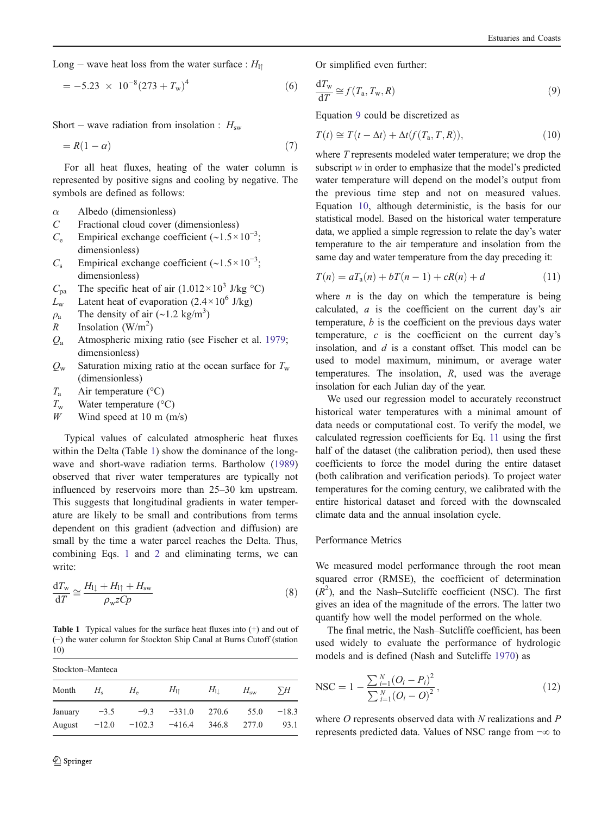Long – wave heat loss from the water surface :  $H_{1\uparrow}$ 

$$
= -5.23 \times 10^{-8} (273 + T_w)^4 \tag{6}
$$

Short – wave radiation from insolation :  $H_{sw}$ 

$$
=R(1-\alpha) \tag{7}
$$

For all heat fluxes, heating of the water column is represented by positive signs and cooling by negative. The symbols are defined as follows:

- $\alpha$  Albedo (dimensionless)
- C Fractional cloud cover (dimensionless)
- $C_e$  Empirical exchange coefficient (~1.5×10<sup>-3</sup>; dimensionless)
- $C_s$  Empirical exchange coefficient (~1.5×10<sup>-3</sup>; dimensionless)
- $C_{\text{pa}}$  The specific heat of air  $(1.012 \times 10^3 \text{ J/kg} \text{ }^{\circ}\text{C})$
- $L_{\rm w}$  Latent heat of evaporation (2.4×10<sup>6</sup> J/kg)
- $\rho_a$  The density of air (~1.2 kg/m<sup>3</sup>)
- *R* Insolation (W/m<sup>2</sup>)
- $Q_a$  Atmospheric mixing ratio (see Fischer et al. [1979](#page-12-0); dimensionless)
- $Q_w$  Saturation mixing ratio at the ocean surface for  $T_w$ (dimensionless)
- $T_a$  Air temperature (°C)
- $T_{\rm w}$  Water temperature (°C)<br>
W Wind speed at 10 m (m
- Wind speed at  $10 \text{ m (m/s)}$

Typical values of calculated atmospheric heat fluxes within the Delta (Table 1) show the dominance of the longwave and short-wave radiation terms. Bartholow ([1989\)](#page-11-0) observed that river water temperatures are typically not influenced by reservoirs more than 25–30 km upstream. This suggests that longitudinal gradients in water temperature are likely to be small and contributions from terms dependent on this gradient (advection and diffusion) are small by the time a water parcel reaches the Delta. Thus, combining Eqs. [1](#page-4-0) and [2](#page-4-0) and eliminating terms, we can write:

$$
\frac{dT_{\rm w}}{dT} \approx \frac{H_{\rm l\downarrow} + H_{\rm l\uparrow} + H_{\rm sw}}{\rho_{\rm w} z C p} \tag{8}
$$

**Table 1** Typical values for the surface heat fluxes into  $(+)$  and out of (−) the water column for Stockton Ship Canal at Burns Cutoff (station 10)

| Stockton-Manteca |             |             |                 |                            |              |         |  |  |
|------------------|-------------|-------------|-----------------|----------------------------|--------------|---------|--|--|
| Month            | $H_{\rm s}$ | $H_{\rm e}$ | $H_{1\uparrow}$ | $H_{\mathrm{l}\downarrow}$ | $H_{\rm sw}$ | ΣН      |  |  |
| January          | $-3.5$      | $-9.3$      | $-331.0$        | 270.6                      | 55.0         | $-18.3$ |  |  |
| August           | $-12.0$     | $-102.3$    | $-416.4$        | 346.8                      | 277.0        | 93.1    |  |  |

Or simplified even further:

$$
\frac{dT_{\mathbf{w}}}{dT} \cong f(T_{\mathbf{a}}, T_{\mathbf{w}}, R) \tag{9}
$$

Equation 9 could be discretized as

$$
T(t) \cong T(t - \Delta t) + \Delta t (f(T_{\rm a}, T, R)), \tag{10}
$$

where  $T$  represents modeled water temperature; we drop the subscript  $w$  in order to emphasize that the model's predicted water temperature will depend on the model's output from the previous time step and not on measured values. Equation 10, although deterministic, is the basis for our statistical model. Based on the historical water temperature data, we applied a simple regression to relate the day's water temperature to the air temperature and insolation from the same day and water temperature from the day preceding it:

$$
T(n) = aT_a(n) + bT(n-1) + cR(n) + d \tag{11}
$$

where  $n$  is the day on which the temperature is being calculated, a is the coefficient on the current day's air temperature, b is the coefficient on the previous days water temperature,  $c$  is the coefficient on the current day's insolation, and d is a constant offset. This model can be used to model maximum, minimum, or average water temperatures. The insolation,  $R$ , used was the average insolation for each Julian day of the year.

We used our regression model to accurately reconstruct historical water temperatures with a minimal amount of data needs or computational cost. To verify the model, we calculated regression coefficients for Eq. 11 using the first half of the dataset (the calibration period), then used these coefficients to force the model during the entire dataset (both calibration and verification periods). To project water temperatures for the coming century, we calibrated with the entire historical dataset and forced with the downscaled climate data and the annual insolation cycle.

# Performance Metrics

We measured model performance through the root mean squared error (RMSE), the coefficient of determination  $(R<sup>2</sup>)$ , and the Nash–Sutcliffe coefficient (NSC). The first gives an idea of the magnitude of the errors. The latter two quantify how well the model performed on the whole.

The final metric, the Nash–Sutcliffe coefficient, has been used widely to evaluate the performance of hydrologic models and is defined (Nash and Sutcliffe [1970\)](#page-12-0) as

$$
\text{NSC} = 1 - \frac{\sum_{i=1}^{N} (O_i - P_i)^2}{\sum_{i=1}^{N} (O_i - O)^2},\tag{12}
$$

where  $O$  represents observed data with  $N$  realizations and  $P$ represents predicted data. Values of NSC range from −∞ to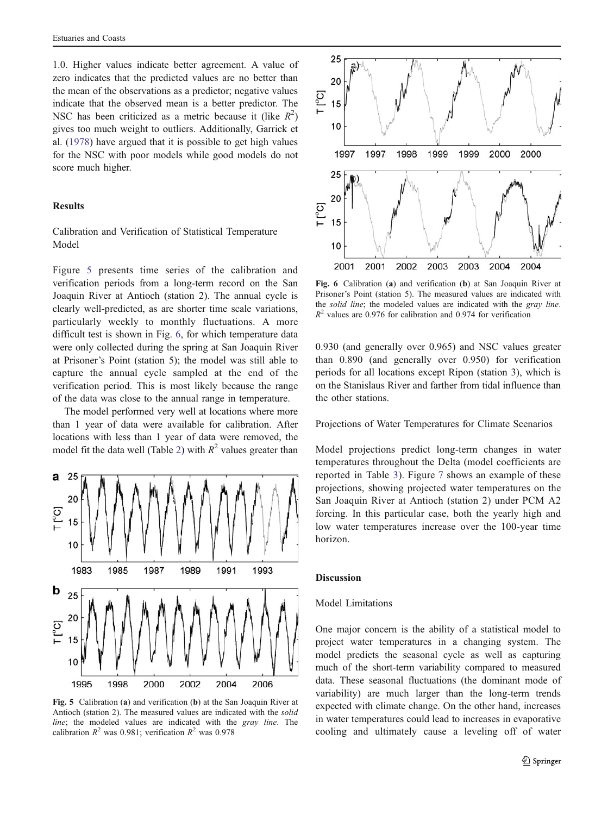1.0. Higher values indicate better agreement. A value of zero indicates that the predicted values are no better than the mean of the observations as a predictor; negative values indicate that the observed mean is a better predictor. The NSC has been criticized as a metric because it (like  $R^2$ ) gives too much weight to outliers. Additionally, Garrick et al. ([1978\)](#page-12-0) have argued that it is possible to get high values for the NSC with poor models while good models do not score much higher.

## **Results**

# Calibration and Verification of Statistical Temperature Model

Figure 5 presents time series of the calibration and verification periods from a long-term record on the San Joaquin River at Antioch (station 2). The annual cycle is clearly well-predicted, as are shorter time scale variations, particularly weekly to monthly fluctuations. A more difficult test is shown in Fig. 6, for which temperature data were only collected during the spring at San Joaquin River at Prisoner's Point (station 5); the model was still able to capture the annual cycle sampled at the end of the verification period. This is most likely because the range of the data was close to the annual range in temperature.

The model performed very well at locations where more than 1 year of data were available for calibration. After locations with less than 1 year of data were removed, the model fit the data well (Table [2\)](#page-7-0) with  $R^2$  values greater than



Fig. 5 Calibration (a) and verification (b) at the San Joaquin River at Antioch (station 2). The measured values are indicated with the solid line; the modeled values are indicated with the gray line. The calibration  $R^2$  was 0.981; verification  $R^2$  was 0.978



Fig. 6 Calibration (a) and verification (b) at San Joaquin River at Prisoner's Point (station 5). The measured values are indicated with the solid line; the modeled values are indicated with the gray line.  $R<sup>2</sup>$  values are 0.976 for calibration and 0.974 for verification

0.930 (and generally over 0.965) and NSC values greater than 0.890 (and generally over 0.950) for verification periods for all locations except Ripon (station 3), which is on the Stanislaus River and farther from tidal influence than the other stations.

## Projections of Water Temperatures for Climate Scenarios

Model projections predict long-term changes in water temperatures throughout the Delta (model coefficients are reported in Table [3\)](#page-8-0). Figure [7](#page-8-0) shows an example of these projections, showing projected water temperatures on the San Joaquin River at Antioch (station 2) under PCM A2 forcing. In this particular case, both the yearly high and low water temperatures increase over the 100-year time horizon.

## **Discussion**

## Model Limitations

One major concern is the ability of a statistical model to project water temperatures in a changing system. The model predicts the seasonal cycle as well as capturing much of the short-term variability compared to measured data. These seasonal fluctuations (the dominant mode of variability) are much larger than the long-term trends expected with climate change. On the other hand, increases in water temperatures could lead to increases in evaporative cooling and ultimately cause a leveling off of water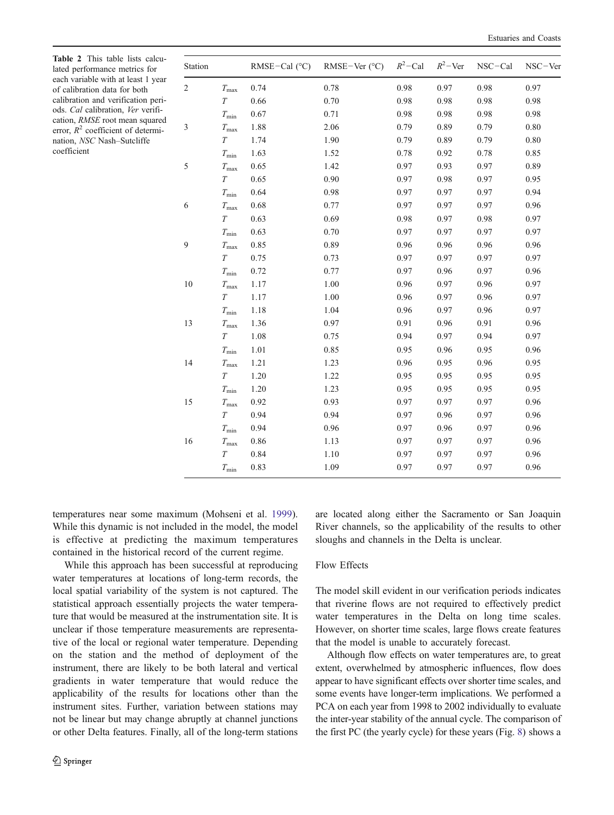<span id="page-7-0"></span>Table 2 This table lists calculated performance metrics for each variable with at least 1 year of calibration data for both calibration and verification periods. Cal calibration, Ver verification, RMSE root mean squared error,  $R^2$  coefficient of determination, NSC Nash–Sutcliffe coefficient

| Station        |               | $RMSE-Cal$ ( $°C$ ) | $RMSE-Ver$ (°C) | $R^2$ –Cal | $R^2$ –Ver | $\ensuremath{\mathsf{NSC}\text{--}\mathsf{Cal}}$ | NSC-Ver |
|----------------|---------------|---------------------|-----------------|------------|------------|--------------------------------------------------|---------|
| $\overline{2}$ | $T_{\rm max}$ | 0.74                | 0.78            | 0.98       | 0.97       | 0.98                                             | 0.97    |
|                | $\tau$        | 0.66                | 0.70            | 0.98       | 0.98       | 0.98                                             | 0.98    |
|                | $T_{\rm min}$ | 0.67                | 0.71            | 0.98       | 0.98       | 0.98                                             | 0.98    |
| 3              | $T_{\rm max}$ | 1.88                | 2.06            | 0.79       | 0.89       | 0.79                                             | 0.80    |
|                | T             | 1.74                | 1.90            | 0.79       | 0.89       | 0.79                                             | 0.80    |
|                | $T_{\rm min}$ | 1.63                | 1.52            | 0.78       | 0.92       | 0.78                                             | 0.85    |
| 5              | $T_{\rm max}$ | 0.65                | 1.42            | 0.97       | 0.93       | 0.97                                             | 0.89    |
|                | T             | 0.65                | 0.90            | 0.97       | 0.98       | 0.97                                             | 0.95    |
|                | $T_{\rm min}$ | 0.64                | 0.98            | 0.97       | 0.97       | 0.97                                             | 0.94    |
| 6              | $T_{\rm max}$ | 0.68                | 0.77            | 0.97       | 0.97       | 0.97                                             | 0.96    |
|                | T             | 0.63                | 0.69            | 0.98       | 0.97       | 0.98                                             | 0.97    |
|                | $T_{\rm min}$ | 0.63                | 0.70            | 0.97       | 0.97       | 0.97                                             | 0.97    |
| 9              | $T_{\rm max}$ | 0.85                | 0.89            | 0.96       | 0.96       | 0.96                                             | 0.96    |
|                | T             | 0.75                | 0.73            | 0.97       | 0.97       | 0.97                                             | 0.97    |
|                | $T_{\rm min}$ | 0.72                | 0.77            | 0.97       | 0.96       | 0.97                                             | 0.96    |
| 10             | $T_{\rm max}$ | 1.17                | 1.00            | 0.96       | 0.97       | 0.96                                             | 0.97    |
|                | T             | 1.17                | 1.00            | 0.96       | 0.97       | 0.96                                             | 0.97    |
|                | $T_{\rm min}$ | 1.18                | 1.04            | 0.96       | 0.97       | 0.96                                             | 0.97    |
| 13             | $T_{\rm max}$ | 1.36                | 0.97            | 0.91       | 0.96       | 0.91                                             | 0.96    |
|                | T             | 1.08                | 0.75            | 0.94       | 0.97       | 0.94                                             | 0.97    |
|                | $T_{\min}$    | 1.01                | 0.85            | 0.95       | 0.96       | 0.95                                             | 0.96    |
| 14             | $T_{\rm max}$ | 1.21                | 1.23            | 0.96       | 0.95       | 0.96                                             | 0.95    |
|                | T             | 1.20                | 1.22            | 0.95       | 0.95       | 0.95                                             | 0.95    |
|                | $T_{\min}$    | 1.20                | 1.23            | 0.95       | 0.95       | 0.95                                             | 0.95    |
| 15             | $T_{\rm max}$ | 0.92                | 0.93            | 0.97       | 0.97       | 0.97                                             | 0.96    |
|                | T             | 0.94                | 0.94            | 0.97       | 0.96       | 0.97                                             | 0.96    |
|                | $T_{\min}$    | 0.94                | 0.96            | 0.97       | 0.96       | 0.97                                             | 0.96    |
| 16             | $T_{\rm max}$ | 0.86                | 1.13            | 0.97       | 0.97       | 0.97                                             | 0.96    |
|                | T             | 0.84                | 1.10            | 0.97       | 0.97       | 0.97                                             | 0.96    |
|                | $T_{\rm min}$ | 0.83                | 1.09            | 0.97       | 0.97       | 0.97                                             | 0.96    |

temperatures near some maximum (Mohseni et al. [1999](#page-12-0)). While this dynamic is not included in the model, the model is effective at predicting the maximum temperatures contained in the historical record of the current regime.

While this approach has been successful at reproducing water temperatures at locations of long-term records, the local spatial variability of the system is not captured. The statistical approach essentially projects the water temperature that would be measured at the instrumentation site. It is unclear if those temperature measurements are representative of the local or regional water temperature. Depending on the station and the method of deployment of the instrument, there are likely to be both lateral and vertical gradients in water temperature that would reduce the applicability of the results for locations other than the instrument sites. Further, variation between stations may not be linear but may change abruptly at channel junctions or other Delta features. Finally, all of the long-term stations are located along either the Sacramento or San Joaquin River channels, so the applicability of the results to other sloughs and channels in the Delta is unclear.

# Flow Effects

The model skill evident in our verification periods indicates that riverine flows are not required to effectively predict water temperatures in the Delta on long time scales. However, on shorter time scales, large flows create features that the model is unable to accurately forecast.

Although flow effects on water temperatures are, to great extent, overwhelmed by atmospheric influences, flow does appear to have significant effects over shorter time scales, and some events have longer-term implications. We performed a PCA on each year from 1998 to 2002 individually to evaluate the inter-year stability of the annual cycle. The comparison of the first PC (the yearly cycle) for these years (Fig. [8\)](#page-9-0) shows a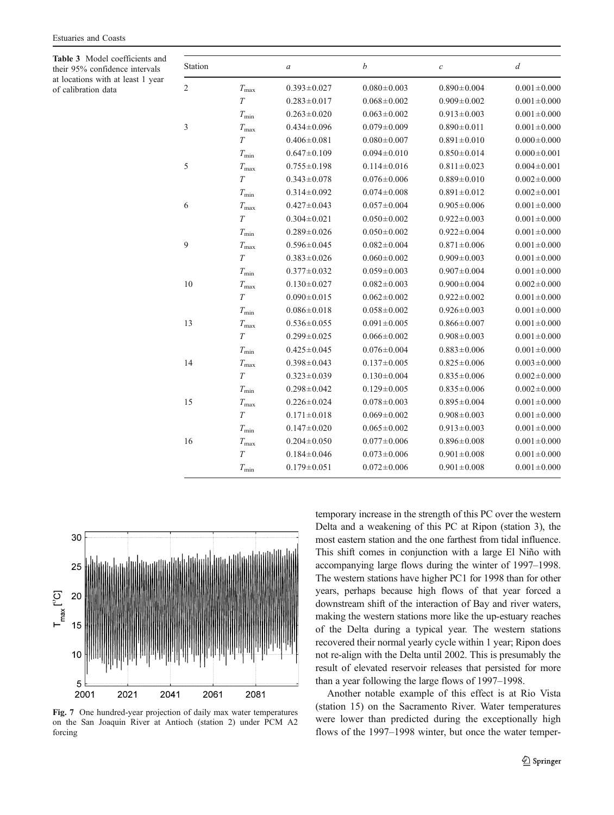| Station        |                | a                 | b                 | $\boldsymbol{c}$  | $\boldsymbol{d}$  |  |
|----------------|----------------|-------------------|-------------------|-------------------|-------------------|--|
| $\overline{2}$ | $T_{\rm max}$  | $0.393 \pm 0.027$ | $0.080 \pm 0.003$ | $0.890 \pm 0.004$ | $0.001 \pm 0.000$ |  |
|                | T              | $0.283 \pm 0.017$ | $0.068 \pm 0.002$ | $0.909 \pm 0.002$ | $0.001 \pm 0.000$ |  |
|                | $T_{\rm min}$  | $0.263 \pm 0.020$ | $0.063 \pm 0.002$ | $0.913 \pm 0.003$ | $0.001 \pm 0.000$ |  |
| 3              | $T_{\rm max}$  | $0.434 \pm 0.096$ | $0.079 \pm 0.009$ | $0.890 \pm 0.011$ | $0.001 \pm 0.000$ |  |
|                | T              | $0.406 \pm 0.081$ | $0.080 \pm 0.007$ | $0.891 \pm 0.010$ | $0.000 \pm 0.000$ |  |
|                | $T_{\rm min}$  | $0.647 \pm 0.109$ | $0.094 \pm 0.010$ | $0.850 \pm 0.014$ | $0.000 \pm 0.001$ |  |
| 5              | $T_{\rm max}$  | $0.755 \pm 0.198$ | $0.114 \pm 0.016$ | $0.811 \pm 0.023$ | $0.004 \pm 0.001$ |  |
|                | $\overline{T}$ | $0.343 \pm 0.078$ | $0.076 \pm 0.006$ | $0.889 \pm 0.010$ | $0.002 \pm 0.000$ |  |
|                | $T_{\rm min}$  | $0.314 \pm 0.092$ | $0.074 \pm 0.008$ | $0.891 \pm 0.012$ | $0.002 \pm 0.001$ |  |
| 6              | $T_{\rm max}$  | $0.427 \pm 0.043$ | $0.057 \pm 0.004$ | $0.905 \pm 0.006$ | $0.001 \pm 0.000$ |  |
|                | T              | $0.304 \pm 0.021$ | $0.050 \pm 0.002$ | $0.922 \pm 0.003$ | $0.001 \pm 0.000$ |  |
|                | $T_{\rm min}$  | $0.289 \pm 0.026$ | $0.050 \pm 0.002$ | $0.922 \pm 0.004$ | $0.001 \pm 0.000$ |  |
| 9              | $T_{\rm max}$  | $0.596 \pm 0.045$ | $0.082 \pm 0.004$ | $0.871 \pm 0.006$ | $0.001 \pm 0.000$ |  |
|                | $\tau$         | $0.383 \pm 0.026$ | $0.060 \pm 0.002$ | $0.909 \pm 0.003$ | $0.001 \pm 0.000$ |  |
|                | $T_{\rm min}$  | $0.377 \pm 0.032$ | $0.059 \pm 0.003$ | $0.907 \pm 0.004$ | $0.001 \pm 0.000$ |  |
| 10             | $T_{\rm max}$  | $0.130 \pm 0.027$ | $0.082 \pm 0.003$ | $0.900 \pm 0.004$ | $0.002 \pm 0.000$ |  |
|                | T              | $0.090 \pm 0.015$ | $0.062 \pm 0.002$ | $0.922 \pm 0.002$ | $0.001 \pm 0.000$ |  |
|                | $T_{\rm min}$  | $0.086 \pm 0.018$ | $0.058 \pm 0.002$ | $0.926 \pm 0.003$ | $0.001 \pm 0.000$ |  |
| 13             | $T_{\rm max}$  | $0.536 \pm 0.055$ | $0.091 \pm 0.005$ | $0.866 \pm 0.007$ | $0.001 \pm 0.000$ |  |
|                | $\tau$         | $0.299 \pm 0.025$ | $0.066 \pm 0.002$ | $0.908 \pm 0.003$ | $0.001 \pm 0.000$ |  |
|                | $T_{\rm min}$  | $0.425 \pm 0.045$ | $0.076 \pm 0.004$ | $0.883 \pm 0.006$ | $0.001 \pm 0.000$ |  |
| 14             | $T_{\rm max}$  | $0.398 \pm 0.043$ | $0.137 \pm 0.005$ | $0.825 \pm 0.006$ | $0.003 \pm 0.000$ |  |
|                | $\overline{T}$ | $0.323 \pm 0.039$ | $0.130 \pm 0.004$ | $0.835 \pm 0.006$ | $0.002 \pm 0.000$ |  |
|                | $T_{\rm min}$  | $0.298 \pm 0.042$ | $0.129 \pm 0.005$ | $0.835 \pm 0.006$ | $0.002 \pm 0.000$ |  |
| 15             | $T_{\rm max}$  | $0.226 \pm 0.024$ | $0.078 \pm 0.003$ | $0.895 \pm 0.004$ | $0.001 \pm 0.000$ |  |
|                | T              | $0.171 \pm 0.018$ | $0.069 \pm 0.002$ | $0.908 \pm 0.003$ | $0.001 \pm 0.000$ |  |
|                | $T_{\rm min}$  | $0.147 \pm 0.020$ | $0.065 \pm 0.002$ | $0.913 \pm 0.003$ | $0.001 \pm 0.000$ |  |
| 16             | $T_{\rm max}$  | $0.204 \pm 0.050$ | $0.077 \pm 0.006$ | $0.896 \pm 0.008$ | $0.001 \pm 0.000$ |  |
|                | T              | $0.184 \pm 0.046$ | $0.073 \pm 0.006$ | $0.901 \pm 0.008$ | $0.001 \pm 0.000$ |  |
|                | $T_{\rm min}$  | $0.179 \pm 0.051$ | $0.072 \pm 0.006$ | $0.901 \pm 0.008$ | $0.001 \pm 0.000$ |  |

<span id="page-8-0"></span>

Table 3 Model coefficients and their 95% confidence interva at locations with at least 1 y of calibration data



Fig. 7 One hundred-year projection of daily max water temperatures on the San Joaquin River at Antioch (station 2) under PCM A2 forcing

temporary increase in the strength of this PC over the western Delta and a weakening of this PC at Ripon (station 3), the most eastern station and the one farthest from tidal influence. This shift comes in conjunction with a large El Niño with accompanying large flows during the winter of 1997–1998. The western stations have higher PC1 for 1998 than for other years, perhaps because high flows of that year forced a downstream shift of the interaction of Bay and river waters, making the western stations more like the up-estuary reaches of the Delta during a typical year. The western stations recovered their normal yearly cycle within 1 year; Ripon does not re-align with the Delta until 2002. This is presumably the result of elevated reservoir releases that persisted for more than a year following the large flows of 1997–1998.

Another notable example of this effect is at Rio Vista (station 15) on the Sacramento River. Water temperatures were lower than predicted during the exceptionally high flows of the 1997–1998 winter, but once the water temper-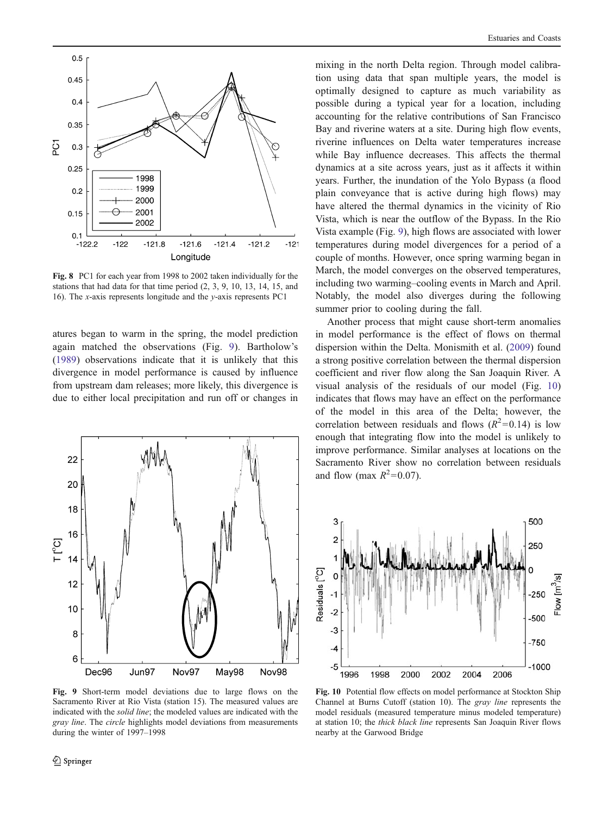<span id="page-9-0"></span>

Fig. 8 PC1 for each year from 1998 to 2002 taken individually for the stations that had data for that time period (2, 3, 9, 10, 13, 14, 15, and 16). The x-axis represents longitude and the y-axis represents PC1

atures began to warm in the spring, the model prediction again matched the observations (Fig. 9). Bartholow's [\(1989](#page-11-0)) observations indicate that it is unlikely that this divergence in model performance is caused by influence from upstream dam releases; more likely, this divergence is due to either local precipitation and run off or changes in



Fig. 9 Short-term model deviations due to large flows on the Sacramento River at Rio Vista (station 15). The measured values are indicated with the solid line; the modeled values are indicated with the gray line. The circle highlights model deviations from measurements during the winter of 1997–1998

mixing in the north Delta region. Through model calibration using data that span multiple years, the model is optimally designed to capture as much variability as possible during a typical year for a location, including accounting for the relative contributions of San Francisco Bay and riverine waters at a site. During high flow events, riverine influences on Delta water temperatures increase while Bay influence decreases. This affects the thermal dynamics at a site across years, just as it affects it within years. Further, the inundation of the Yolo Bypass (a flood plain conveyance that is active during high flows) may have altered the thermal dynamics in the vicinity of Rio Vista, which is near the outflow of the Bypass. In the Rio Vista example (Fig. 9), high flows are associated with lower temperatures during model divergences for a period of a couple of months. However, once spring warming began in March, the model converges on the observed temperatures, including two warming–cooling events in March and April. Notably, the model also diverges during the following summer prior to cooling during the fall.

Another process that might cause short-term anomalies in model performance is the effect of flows on thermal dispersion within the Delta. Monismith et al. ([2009](#page-12-0)) found a strong positive correlation between the thermal dispersion coefficient and river flow along the San Joaquin River. A visual analysis of the residuals of our model (Fig. 10) indicates that flows may have an effect on the performance of the model in this area of the Delta; however, the correlation between residuals and flows  $(R^2=0.14)$  is low enough that integrating flow into the model is unlikely to improve performance. Similar analyses at locations on the Sacramento River show no correlation between residuals and flow (max  $R^2$ =0.07).



Fig. 10 Potential flow effects on model performance at Stockton Ship Channel at Burns Cutoff (station 10). The gray line represents the model residuals (measured temperature minus modeled temperature) at station 10; the thick black line represents San Joaquin River flows nearby at the Garwood Bridge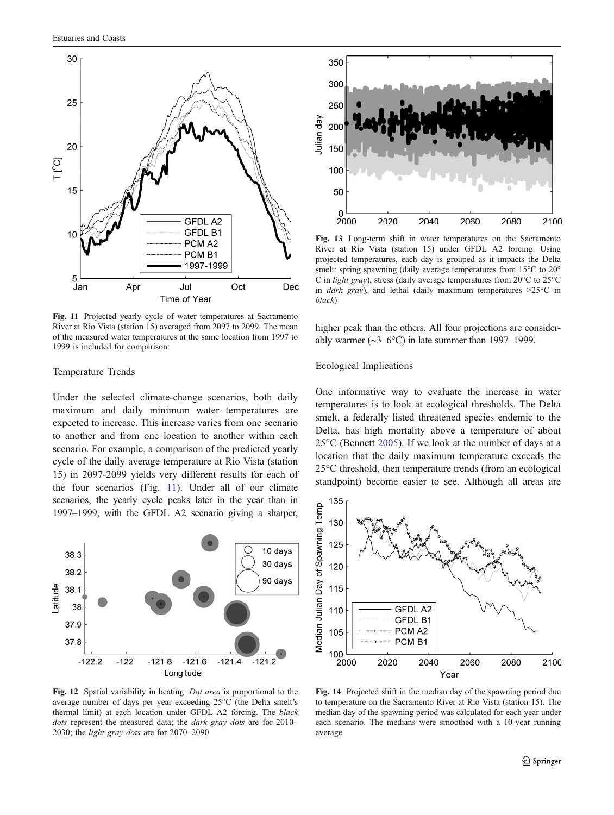<span id="page-10-0"></span>

Fig. 11 Projected yearly cycle of water temperatures at Sacramento River at Rio Vista (station 15) averaged from 2097 to 2099. The mean of the measured water temperatures at the same location from 1997 to 1999 is included for comparison

## Temperature Trends

Under the selected climate-change scenarios, both daily maximum and daily minimum water temperatures are expected to increase. This increase varies from one scenario to another and from one location to another within each scenario. For example, a comparison of the predicted yearly cycle of the daily average temperature at Rio Vista (station 15) in 2097-2099 yields very different results for each of the four scenarios (Fig. 11). Under all of our climate scenarios, the yearly cycle peaks later in the year than in 1997–1999, with the GFDL A2 scenario giving a sharper,



Fig. 12 Spatial variability in heating. Dot area is proportional to the average number of days per year exceeding 25°C (the Delta smelt's thermal limit) at each location under GFDL A2 forcing. The black dots represent the measured data; the *dark gray dots* are for 2010– 2030; the light gray dots are for 2070–2090



Fig. 13 Long-term shift in water temperatures on the Sacramento River at Rio Vista (station 15) under GFDL A2 forcing. Using projected temperatures, each day is grouped as it impacts the Delta smelt: spring spawning (daily average temperatures from 15°C to 20° C in *light gray*), stress (daily average temperatures from  $20^{\circ}$ C to  $25^{\circ}$ C in *dark gray*), and lethal (daily maximum temperatures  $>25^{\circ}$ C in black)

higher peak than the others. All four projections are considerably warmer (∼3–6°C) in late summer than 1997–1999.

#### Ecological Implications

One informative way to evaluate the increase in water temperatures is to look at ecological thresholds. The Delta smelt, a federally listed threatened species endemic to the Delta, has high mortality above a temperature of about 25°C (Bennett [2005\)](#page-11-0). If we look at the number of days at a location that the daily maximum temperature exceeds the 25°C threshold, then temperature trends (from an ecological standpoint) become easier to see. Although all areas are



Fig. 14 Projected shift in the median day of the spawning period due to temperature on the Sacramento River at Rio Vista (station 15). The median day of the spawning period was calculated for each year under each scenario. The medians were smoothed with a 10-year running average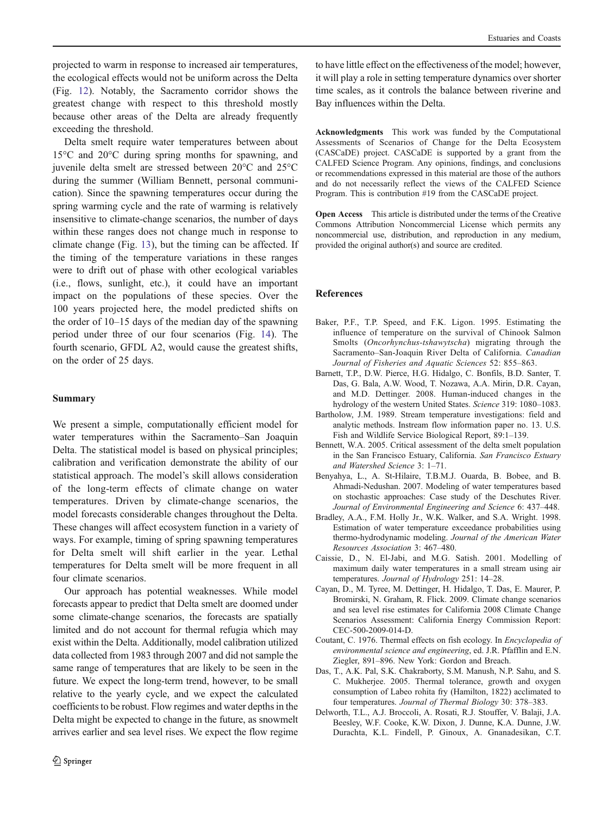<span id="page-11-0"></span>projected to warm in response to increased air temperatures, the ecological effects would not be uniform across the Delta (Fig. [12](#page-10-0)). Notably, the Sacramento corridor shows the greatest change with respect to this threshold mostly because other areas of the Delta are already frequently exceeding the threshold.

Delta smelt require water temperatures between about 15°C and 20°C during spring months for spawning, and juvenile delta smelt are stressed between 20°C and 25°C during the summer (William Bennett, personal communication). Since the spawning temperatures occur during the spring warming cycle and the rate of warming is relatively insensitive to climate-change scenarios, the number of days within these ranges does not change much in response to climate change (Fig. [13\)](#page-10-0), but the timing can be affected. If the timing of the temperature variations in these ranges were to drift out of phase with other ecological variables (i.e., flows, sunlight, etc.), it could have an important impact on the populations of these species. Over the 100 years projected here, the model predicted shifts on the order of 10–15 days of the median day of the spawning period under three of our four scenarios (Fig. [14\)](#page-10-0). The fourth scenario, GFDL A2, would cause the greatest shifts, on the order of 25 days.

#### Summary

We present a simple, computationally efficient model for water temperatures within the Sacramento–San Joaquin Delta. The statistical model is based on physical principles; calibration and verification demonstrate the ability of our statistical approach. The model's skill allows consideration of the long-term effects of climate change on water temperatures. Driven by climate-change scenarios, the model forecasts considerable changes throughout the Delta. These changes will affect ecosystem function in a variety of ways. For example, timing of spring spawning temperatures for Delta smelt will shift earlier in the year. Lethal temperatures for Delta smelt will be more frequent in all four climate scenarios.

Our approach has potential weaknesses. While model forecasts appear to predict that Delta smelt are doomed under some climate-change scenarios, the forecasts are spatially limited and do not account for thermal refugia which may exist within the Delta. Additionally, model calibration utilized data collected from 1983 through 2007 and did not sample the same range of temperatures that are likely to be seen in the future. We expect the long-term trend, however, to be small relative to the yearly cycle, and we expect the calculated coefficients to be robust. Flow regimes and water depths in the Delta might be expected to change in the future, as snowmelt arrives earlier and sea level rises. We expect the flow regime

to have little effect on the effectiveness of the model; however, it will play a role in setting temperature dynamics over shorter time scales, as it controls the balance between riverine and Bay influences within the Delta.

Acknowledgments This work was funded by the Computational Assessments of Scenarios of Change for the Delta Ecosystem (CASCaDE) project. CASCaDE is supported by a grant from the CALFED Science Program. Any opinions, findings, and conclusions or recommendations expressed in this material are those of the authors and do not necessarily reflect the views of the CALFED Science Program. This is contribution #19 from the CASCaDE project.

Open Access This article is distributed under the terms of the Creative Commons Attribution Noncommercial License which permits any noncommercial use, distribution, and reproduction in any medium, provided the original author(s) and source are credited.

#### References

- Baker, P.F., T.P. Speed, and F.K. Ligon. 1995. Estimating the influence of temperature on the survival of Chinook Salmon Smolts (Oncorhynchus-tshawytscha) migrating through the Sacramento–San-Joaquin River Delta of California. Canadian Journal of Fisheries and Aquatic Sciences 52: 855–863.
- Barnett, T.P., D.W. Pierce, H.G. Hidalgo, C. Bonfils, B.D. Santer, T. Das, G. Bala, A.W. Wood, T. Nozawa, A.A. Mirin, D.R. Cayan, and M.D. Dettinger. 2008. Human-induced changes in the hydrology of the western United States. Science 319: 1080–1083.
- Bartholow, J.M. 1989. Stream temperature investigations: field and analytic methods. Instream flow information paper no. 13. U.S. Fish and Wildlife Service Biological Report, 89:1–139.
- Bennett, W.A. 2005. Critical assessment of the delta smelt population in the San Francisco Estuary, California. San Francisco Estuary and Watershed Science 3: 1–71.
- Benyahya, L., A. St-Hilaire, T.B.M.J. Ouarda, B. Bobee, and B. Ahmadi-Nedushan. 2007. Modeling of water temperatures based on stochastic approaches: Case study of the Deschutes River. Journal of Environmental Engineering and Science 6: 437–448.
- Bradley, A.A., F.M. Holly Jr., W.K. Walker, and S.A. Wright. 1998. Estimation of water temperature exceedance probabilities using thermo-hydrodynamic modeling. Journal of the American Water Resources Association 3: 467–480.
- Caissie, D., N. El-Jabi, and M.G. Satish. 2001. Modelling of maximum daily water temperatures in a small stream using air temperatures. Journal of Hydrology 251: 14–28.
- Cayan, D., M. Tyree, M. Dettinger, H. Hidalgo, T. Das, E. Maurer, P. Bromirski, N. Graham, R. Flick. 2009. Climate change scenarios and sea level rise estimates for California 2008 Climate Change Scenarios Assessment: California Energy Commission Report: CEC-500-2009-014-D.
- Coutant, C. 1976. Thermal effects on fish ecology. In Encyclopedia of environmental science and engineering, ed. J.R. Pfafflin and E.N. Ziegler, 891–896. New York: Gordon and Breach.
- Das, T., A.K. Pal, S.K. Chakraborty, S.M. Manush, N.P. Sahu, and S. C. Mukherjee. 2005. Thermal tolerance, growth and oxygen consumption of Labeo rohita fry (Hamilton, 1822) acclimated to four temperatures. Journal of Thermal Biology 30: 378–383.
- Delworth, T.L., A.J. Broccoli, A. Rosati, R.J. Stouffer, V. Balaji, J.A. Beesley, W.F. Cooke, K.W. Dixon, J. Dunne, K.A. Dunne, J.W. Durachta, K.L. Findell, P. Ginoux, A. Gnanadesikan, C.T.